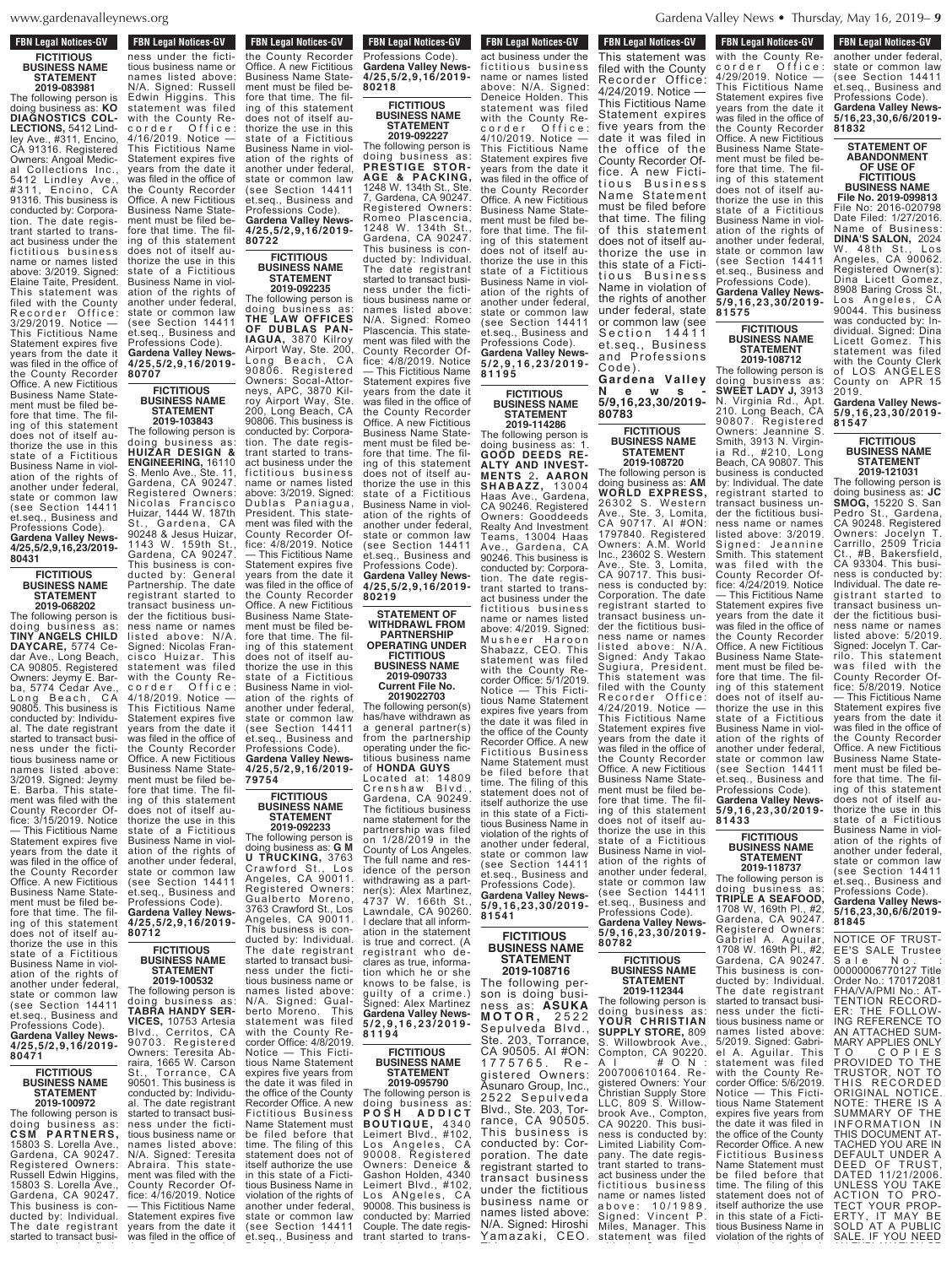# **FBN Legal Notices-GV FICTITIOUS BUSINESS NAME STATEMENT**

**2019-083981** The following person is doing business as: **KO DIAGNOSTICS COL-LECTIONS,** 5412 Lindley Ave., #311, Encino, CA 91316. Registered Owners: Angoal Medical Collections Inc., 5412 Lindley Ave., #311, Enc ino, CA 91316. This business is conducted by: Corporation. The date registrant started to transact business under the fictitious business name or names listed above: 3/2019. Signed: Elaine Taite, President.<br>This statement was This statement was filed with the County Recorder Office: 3/29/2019. Notice — This Fictitious Name Statement expires five years from the date it was filed in the office of the County Recorder Office. A new Fictitious Business Name Statement must be filed before that time. The filing of this statement does not of itself authorize the use in this state of a Fictitious Business Name in violation of the rights of another under federal, state or common law (see Section 14411 et.seq., Business and Professions Code). **Gardena Valley News-4/25,5/2,9,16,23/2019- 80431**

# **FICTITIOUS BUSINESS NAME STATEMENT 2019-068202**

The following person is doing business as: **TINY ANGELS CHILD DAYCARE,** 5774 Cedar Ave., Long Beach, CA 90805. Registered Owners: Jeymy E. Barba, 5774 Cedar Ave., Long Beach, CA 90805. This business is conducted by: Individual. The date registrant started to transact business under the fictitious business name or names listed above: 3/2019. Signed: Jeymy E. Barba. This statement was filed with the County Recorder Office: 3/15/2019. Notice — This Fictitious Name Statement expires five years from the date it was filed in the office of the County Recorder Office. A new Fictitious Business Name Statement must be filed be fore that time. The filing of this statement does not of itself authorize the use in this state of a Fictitious Business Name in violation of the rights of another under federal, state or common law (see Section 14411 et.seq., Business and Professions Code).

**Gardena Valley News-4/25,5/2,9,16/2019- 80471**

### **FICTITIOUS BUSINESS NAME STATEMENT 2019-100972**

The following person is doing business as: **C S M P A R T N E R S,** 15803 S. Lorella Ave., Gardena, CA 90247. Registered Owners: Russell Edwin Higgins, 15803 S. Lorella Ave., Gardena, CA 90247. This business is conducted by: Individual. The date registrant started to transact busi-

does not of itself authorize the use in this state of a Fictitious Business Name in violation of the rights of another under federal, state or common law state Section 14411 et.seq., Business and Professions Code). **Gardena Valley News-4/25,5/2,9,16/2019- 80722** The following person is doing business as: **THE LAW OFFICES OF DUBLAS PAN-IAGUA,** 3870 Kilroy Airport Way, Ste. 200, Long Beach, CA 90806. Registered **FBN Legal Notices-GV FON LEGAL NULLES-GV** ness under the fictitious business name or names listed above: N/A. Signed: Russell Edwin Higgins. This statement was filed with the County Recorder Office: corder Offic<br>4/16/2019. Notice This Fictitious Name Statement expires five years from the date it was filed in the office of the County Recorder Office. A new Fictitious Business Name Statement must be filed before that time. The filing of this statement does not of itself authorize the use in this state of a Fictitious Business Name in violation of the rights of another under federal, state or common law (see Section 14411 et.seq., Business and Professions Code). **Gardena Valley News-4/25,5/2,9,16/2019-**

**FICTITIOUS BUSINESS NAME STATEMENT 2019-103843**

**80707**

conducted by: Corporation. The date registrant started to transact business under the fictitious business name or names listed above: 3/2019. Signed: Dublas Paniagua, President. This statement was filed with the County Recorder Office: 4/8/2019. Notice Statement expires five years from the date it was filed in the office of the County Recorder Office. A new Fictitious Business Name Statement must be filed before that time. The filing of this statement does not of itself authorize the use in this state of a Fictitious Business Name in violation of the rights of another under federal, state or common law (see Section 14411 et.seq., Business and Professions Code). **Gardena Valley News-4/25,5/2,9,16/2019- 79754** The following person is doing business as: **G M U TRUCKING,** 3763 Crawford St., Los Angeles, CA 90011. Registered Owners: Gualberto Moreno, 3763 Crawford St., Los Angeles, CA 90011. Angeles, CA 90011<br>This business is con-The following person is doing business as: **HUIZAR DESIGN & ENGINEERING,** 16110 S. Menlo Ave., Ste. 11, Gardena, CA 90247. Registered Owners: Nicolas Francisco Huizar, 1444 W. 187th St., Gardena, CA 90248 & Jesus Huizar, 1143 W. 159th St., Gardena, CA 90247. This business is conducted by: General Partnership. The date registrant started to transact business under the fictitious business name or names listed above: N/A. Signed: Nicolas Francisco Huizar. This statement was filed with the County Recorder Office: 4/18/2019. Notice — This Fictitious Name Statement expires five years from the date it was filed in the office of the County Recorder Office. A new Fictitious Business Name Statement must be filed before that time. The filing of this statement does not of itself authorize the use in this state of a Fictitious Business Name in violation of the rights of another under federal, state or common law (see Section 14411 et.seq., Business and Professions Code). **Gardena Valley News-4/25,5/2,9,16/2019-**

**80712 FICTITIOUS BUSINESS NAME STATEMENT 2019-100532**

names listed above: N/A. Signed: Gualberto Moreno. This statement was filed with the County Recorder Office: 4/8/2019. Notice — This Fictitious Name Statement expires five years from the date it was filed in the office of the County Recorder Office. A new Fictitious Business Name Statement must be filed before that time. The filing of this statement does not of itself authorize the use in this state of a Fictitious Business Name in violation of the rights of another under federal, state or common law (see Section 14411 et.seq., Business and The following person is doing business as: **TABRA HANDY SER-VICES,** 10753 Artesia Blvd., Cerritos, CA 90703. Registered Owners: Teresita Abraira, 1665 W. Carson St., Torrance, CA 90501. This business is conducted by: Individual. The date registrant started to transact business under the fictitious business name or names listed above: N/A. Signed: Teresita Abraira. This statement was filed with the County Recorder Office: 4/16/2019. Notice — This Fictitious Name Statement expires five years from the date it was filed in the office of

**FBN Legal Notices-GV EXAGE ENDINE CONCRETE AND THE STATE** Professions Code). **Gardena Valley News-4/25,5/2,9,16/2019- 80218 FICTITIOUS FBN Legal Notices-GV FILED IN THE OFFICE OF STRAIGHT** the County Recorder Office. A new Fictitious Business Name Statement must be filed before that time. The filing of this statement

**FICTITIOUS BUSINESS NAME STATEMENT 2019-092235**

Owners: Socal-Attorneys, APC, 3870 Kilroy Airport Way, Ste. 200, Long Beach, CA 90806. This business is

— This Fictitious Name

**FICTITIOUS BUSINESS NAME STATEMENT 2019-092233**

ducted by: Individual. The date registrant started to transact business under the fictitious business name or **BUSINESS NAME STATEMENT 2019-092227**

The following person is doing business as: **PRESTIGE STOR-AGE & PACKING,** 1248 W. 134th St., Ste. 7, Gardena, CA 90247. Registered Owners: Romeo Plascencia, 1248 W. 134th St., Gardena, CA 90247. This business is conducted by: Individual. The date registrant started to transact business under the fictitious business name or names listed above:<br>N/A. Signed: Romeo N/A. Signed: Romeo Plascencia. This statement was filed with the County Recorder Office: 4/8/2019. Notice — This Fictitious Name Statement expires five years from the date it was filed in the office of the County Recorder Office. A new Fictitious Business Name Statement must be filed before that time. The filing of this statement does not of itself authorize the use in this state of a Fictitious Business Name in violation of the rights of another under federal, state or common law (see Section 14411 et.seq., Business and

Professions Code). **Gardena Valley News-4/25,5/2,9,16/2019- 80219**

**STATEMENT OF WITHDRAWL FROM PARTNERSHIP OPERATING UNDER FICTITIOUS BUSINESS NAME 2019-090733 Current File No. 2019022703**

The following person(s) has/have withdrawn as a general partner(s) from the partnership operating under the fictitious business name of **HONDA GUYS** Located at: 14809

Crenshaw Blvd., Gardena, CA 90249. The fictitious business name statement for the partnership was filed on 1/28/2019 in the County of Los Angeles. The full name and residence of the person withdrawing as a partner(s): Alex Martinez, 4737 W. 166th St., Lawndale, CA 90260. I declare that all information in the statement is true and correct. (A registrant who declares as true, information which he or she knows to be false, is guilty of a crime.) Signed: Alex Martinez **Gardena Valley News-5 / 2 , 9 , 1 6 , 2 3 / 2 0 1 9 - 8 1 1 9 4**

# **FICTITIOUS BUSINESS NAME STATEMENT**

**2019-095790** The following person is doing business as: **P O S H A D D I C T B O U T I Q U E,** 4 3 4 0 Leimert Blvd., #102, Los Angeles, CA 90008. Registered Owners: Deneice & Gashon Holden, 4340 Leimert Blvd., #102, Los ANgeles, CA 90008. This business is conducted by: Married Couple. The date regis-<br>trant started to trans-

**FBN Legal Notices-GV** rbn Leyal Nullles-dv act business under the fictitious business name or names listed above: N/A. Signed: Deneice Holden. This statement was filed with the County Recorder Office: 4/10/2019. Notice — This Fictitious Name Statement expires five years from the date it was filed in the office of the County Recorder Office. A new Fictitious Business Name Statement must be filed before that time. The filing of this statement does not of itself authorize the use in this state of a Fictitious Business Name in violation of the rights of another under federal, state or common law (see Section 14411 et.seq., Business and Professions Code). **Gardena Valley News-5 / 2 , 9 , 1 6 , 2 3 / 2 0 1 9 - 8 1 1 9 5**

doing business as: 1. **GOOD DEEDS RE-ALTY AND INVEST-MENTS** 2**. AARON S H A B A Z Z ,** 1 3 0 0 4 Haas Ave., Gardena, CA 90246. Registered Owners: Gooddeeds Realty And Investment Teams, 13004 Haas Ave., Gardena, CA 90246. This business is conducted by: Corporation. The date registrant started to transact business under the fictitious business name or names listed above: 4/2019. Signed: Musheer Haroon Shabazz, CEO. This statement was filed with the County Recorder Office: 5/1/2019. Notice — This Fictitious Name Statement expires five years from the date it was filed in the office of the County Recorder Office. A new Fictitious Business Name Statement must be filed before that time. The filing of this statement does not of itself authorize the use in this state of a Fictitious Business Name in violation of the rights of another under federal, state or common law (see Section 14411 et.seq., Business and

Professions Code). **Gardena Valley News-81541**

**FICTITIOUS BUSINESS NAME**

The following person is doing business as: **ASUKA M O T O R ,** 2 5 2 2 Sepulveda Blvd., Ste. 203, Torrance, CA 90505. AI #ON: 1775765. Registered Owners: Asunaro Group, Inc., <sup>2522</sup> Sepul veda France, CA 90505.<br>This business is<br>conducted by: Corporation. The date registrant started to transact business under the fictitious business name or names listed above: N/A. Signed: Hiroshi

Yamazaki, CEO.

www.gardenavalleynews.org **Gardena Valley News • Thursday, May 16, 2019**– 9 alley News  $\bullet$  Thursday, May 16, 2019–  $\bm{9}$  $\sum_{i=1}^{n}$ business name of the original in the contract of the contract of the contract of the contract of the contract of the contract of the contract of the contract of the contract of the contract of the contract of the contract uardena

**FBN Legal Notices-GV FILED IN LEGAL MULLES-AV** with the County Recorder Office: 4/29/2019. Notice — This Fictitious Name Statement expires five years from the date it was filed in the office of the County Recorder Office. A new Fictitious Business Name Statement must be filed before that time. The filing of this statement does not of itself authorize the use in this state of a Fictitious Business Name in violation of the rights of another under federal, state or common law (see Section 14411 et.seq., Business and Professions Code). **Gardena Valley News-5/9,16,23,30/2019- 81575 FBN Legal Notices-GV** This statement was filed with the County Recorder Office: 4/24/2019. Notice — This Fictitious Name Statement expires five years from the date it was filed in the office of the County Recorder Office. A new Fictitious Business Name Statement must be filed before that time. The filing of this statement does not of itself authorize the use in this state of a Fictitious Business Name in violation of the rights of another under federal, state or common law (see

Section  $14411$ et.seq., Business and Professions

> **FICTITIOUS BUSINESS NAME STATEMENT 2019-108720**

transact business under the fictitious busi-

listed above: N/A.

state of a Fictitious Business Name in viol-

> **FICTITIOUS BUSINESS NAME STATEMENT 2019-112344**

Code).

**FICTITIOUS BUSINESS NAME STATEMENT 2019-108712**

The following person is doing business as: **SWEET LADY J,** 3913 N. Virginia Rd., Apt. 210. Long Beach, CA 90807. Registered Owners: Jeannine S. Smith, 3913 N. Virginia Rd., #210, Long Beach, CA 90807. This business is conducted by: Individual. The date registrant started to transact business under the fictitious business name or names listed above: 3/2019. Signed: Jeannine Smith. This statement was filed with the County Recorder Office: 4/24/2019. Notice — This Fictitious Name Statement expires five years from the date it was filed in the office of the County Recorder Office. A new Fictitious Business Name Statement must be filed before that time. The filing of this statement does not of itself authorize the use in this state of a Fictitious Business Name in violation of the rights of another under federal, state or common law (see Section 14411 et.seq., Business and Professions Code). **Gardena Valley News-5/9,16,23,30/2019- 81433 Gardena Valley N e w s - 5/9,16,23,30/2019-** The following person is doing business as: **AM** 26302 S. Western Ave., Ste. 3, Lomita, CA 90717. AI #ON: 1797840. Registered Owners: A.M. World Inc., 23602 S. Western Ave., Ste. 3, Lomita, CA 90717. This business is conducted by: Corporation. The date registrant started to ness name or names

### **FICTITIOUS BUSINESS NAME STATEMENT 2019-118737**

The following person is doing business as: **TRIPLE A SEAFOOD,** 1708 W, 169th Pl., #2, Gardena, CA 90247. Registered Owners: Gabriel A. Aguilar, 1708 W. 169th Pl., #2, Gardena, CA 90247 This business is conducted by: Individual. The date registrant started to transact business under the fictitious business name or names listed above: 5/2019. Signed: Gabriel A. Aguilar. This statement was filed with the County Recorder Office: 5/6/2019. Notice — This Fictitious Name Statement expires five years from the date it was filed in the office of the County Recorder Office. A new Fictitious Business Name Statement must be filed before that time. The filing of this statement does not of itself authorize the use in this state of a Fictiviolation of the rights of name or names listed a b o v e : 1 0 / 1 9 8 9 . Signed: Vincent P. Miles, Manager. This<br>statement was filed

**FBN Legal Notices-GV FIGURE CONCRETE RIGHTS OF THE RIGHTS OF THE RIGHTS** another under federal, state or common law (see Section 14411 et.seq., Business and Professions Code). **Gardena Valley News-5/16,23,30,6/6/2019- 81832**

**STATEMENT OF ABANDONMENT OF USE OF**

## **FICTITIOUS BUSINESS NAME**

**File No. 2019-099813** File No: 2016-020798 Date Filed: 1/27/2016. Name of Business: **DINA'S SALON,** 2024 W. 48th St., Los Angeles, CA 90062. Registered Owner(s): Dina Licett Gomez, 8908 Baring Cross St. Los Angeles, CA 90044. This business was conducted by: Individual. Signed: Dina Licett Gomez. This statement was filed with the County Clerk of LOS ANGELES County on APR 15

2019. **Gardena Valley News-5/9,16,23,30/2019- 81547**

## **FICTITIOUS BUSINESS NAME STATEMENT 2019-121031**

The following person is doing business as: **JC SMOG,** 15220 S. San Pedro St., Gardena, CA 90248. Registered Owners: Jocelyn T. Carrillo, 2509 Tricia Ct., #B, Bakersfield, CA 93304. This business is conducted by: Individual. The date registrant started to transact business under the fictitious business name or names listed above: 5/2019. Signed: Jocelyn T. Carrilo. This statement was filed with the County Recorder Office: 5/8/2019. Notice — This Fictitious Name Statement expires five years from the date it was filed in the office of the County Recorder Office. A new Fictitious Business Name Statement must be filed before that time. The filing of this statement does not of itself authorize the use in this state of a Fictitious Business Name in violation of the rights of another under federal, state or common law (see Section 14411 et.seq., Business and Professions Code).

**Gardena Valley News-5/16,23,30,6/6/2019- 81845**

NOTICE OF TRUST-EE'S SALE Trustee Sale No. : 00000006770127 Title Order No.: 170172081 FHA/VA/PMI No.: AT-

TENTION RECORD-ER: THE FOLLOW-ING REFERENCE TO AN ATTACHED SUM-MARY APPLIES ONLY T O C O P I E S PROVIDED TO THE TRUSTOR, NOT TO THIS RECORDED ORIGINAL NOTICE. NOTE: THERE IS A SUMMARY OF THE INFORMATION IN THIS DOCUMENT AT-TACHED YOU ARE IN DEFAULT UNDER A DEED OF TRUST, DATED 11/21/2006. UNLESS YOU TAKE ACTION TO PRO-TECT YOUR PROP-ERTY, IT MAY BE SOLD AT A PUBLIC SALE. IF YOU NEED

ation of the rights of another under federal, state or common law (see Section 14411 et.seq., Business and Professions Code). **Gardena Valley News-5/9,16,23,30/2019- 80782** The following person is doing business as: **YOUR CHRISTIAN SUPPLY STORE,** 809 S. Willowbrook Ave. Compton, CA 90220. A I # O N : 200700610164. Registered Owners: Your Christian Supply Store LLC, 809 S. Willowbrook Ave., Compton, CA 90220. This business is conducted by: Limited Liability Company. The date registrant started to transact business under the fictitious business **STATEMENT 2019-108716**

**80783 WORLD EXPRESS, FICTITIOUS BUSINESS NAME** STATEMENT **2019-114286** The following person is

**5/9,16,23,30/2019-**

Signed: Andy Takao Sugiura, President. This statement was filed with the County<br>Recorder Office:

4/24/2019. Notice — This Fictitious Name Statement expires five years from the date it was filed in the office of the County Recorder Office. A néw Fictitious Business Name Statement must be filed before that time. The filing of this statement does not of itself authorize the use in this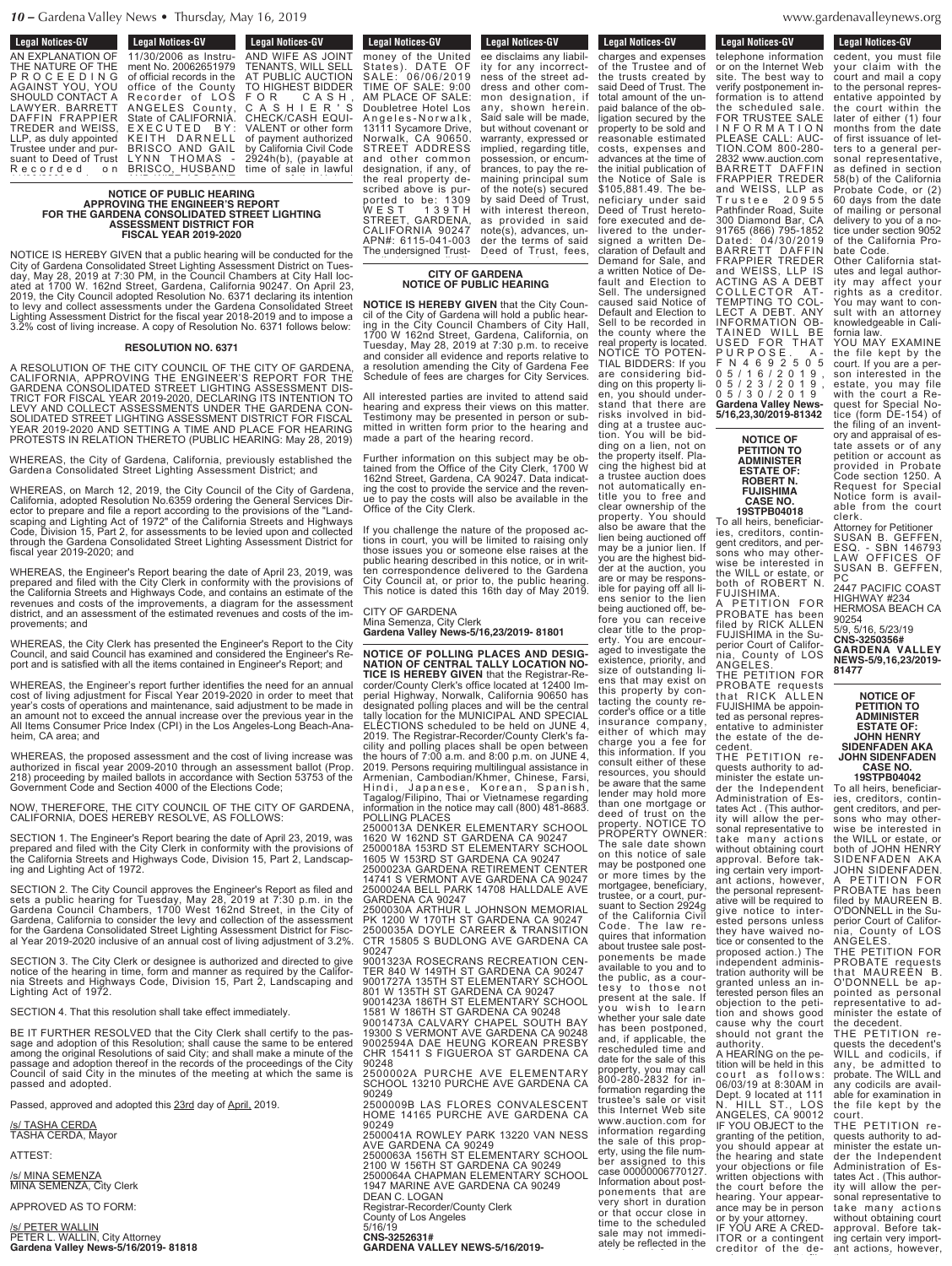AND WIFE AS JOINT **Legal Notices-GV** Legal Nutles-GV AN FXPI ANATION OF THE NATURE OF THE P R O C E E D I N G AGAINST YOU, YOU SHOULD CONTACT A LAWYER. BARRETT DAFFIN FRAPPIER TREDER and WEISS<br>LLP as duly appointed as duly appointed Trustee under and pursuant to Deed of Trust R e c o r d e d o n 11/30/2006 as Inst<u>ru</u>

**Legal Notices-GV E** Legal Nutries-GV AND WIFE AS JOINT TENANTS, WILL SELL AT PUBLIC AUCTION TO HIGHEST BIDDER F O R C A S H , C A S H I E R ' S CHECK/CASH EQUI-VALENT or other form of payment authorized by California Civil Code 2924h(b), (payable at time of sale in lawful **Legal Notices-GV** Legal Nutres-dv 11/30/2006 as Instrument No. 20062651979 of official records in the office of the County Recorder of LOS ANGELES County, State of CALIFORNIA. EXECUTED BY: KEITH DARNELL BRISCO AND GAIL LYNN THOMAS -BRISCO, HUSBAND

#### **NOTICE OF PUBLIC HEARING APPROVING THE ENGINEER'S REPORT FOR THE GARDENA CONSOLIDATED STREET LIGHTING ASSESSMENT DISTRICT FOR FISCAL YEAR 2019-2020** States). DATE OF SALE: 06<br>EPORT EI OIII<br>REET I IGHTING ILL LIGHTING<br>R Doubletree Hotel Los ING THE ENGINEER'S ING THE ENGINEEN S<br>NA CONSOLIDATED S IT CONCOLIDATED C COAL TEATLESTS-202 ment No. 20062651979  $\Delta$ PPRC EOR THE GARD r on the date ANGELES Count y ,

NOTICE IS HEREBY GIVEN that a public hearing will be conducted for the City of Gardena Consolidated Street Lighting Assessment District on Tuesday, May 28, 2019 at 7:30 PM, in the Council Chambers at City Hall located at 1700 W. 162nd Street, Gardena, California 90247. On April 23, 2019, the City Council adopted Resolution No. 6371 declaring its intention to levy and collect assessments under the Gardena Consolidated Street Lighting Assessment District for the fiscal year 2018-2019 and to impose a 3.2% cost of living increase. A copy of Resolution No. 6371 follows below:  $131$  be conducted for the will be conducted for the<br>smant District on Tuas. sment District on Tucs-<br>Imhere at City Hall Inc. annocis at Olty Tiali 100-<br>11a 90247. On Anril 23  $\frac{1}{4}$  declaring its intention n acclaimg its internon<br>na Consolidated Street na Consondated Circet<br>8-2019 and to impose a Jo 6371 follows helow:  $EN$  that a public hearing ated Street Lighting Ass ated Othect Eighting Ass<br>O PM in the Council C o i wi, in the Oodheir o<br>Street : Gardena : Califo oncer, Saraena, Sainc<br>onted Resolution No. 6 opica resolution no. o.<br>smants under the Garr shichts under the Gard<br>rict for the fiscal vear 20  $\mathbb{R}$   $\mathbb{R}$   $\mathbb{R}$   $\mathbb{R}$   $\mathbb{R}$   $\mathbb{R}$   $\mathbb{R}$   $\mathbb{R}$   $\mathbb{R}$   $\mathbb{R}$   $\mathbb{R}$   $\mathbb{R}$   $\mathbb{R}$   $\mathbb{R}$   $\mathbb{R}$   $\mathbb{R}$   $\mathbb{R}$   $\mathbb{R}$   $\mathbb{R}$   $\mathbb{R}$   $\mathbb{R}$   $\mathbb{R}$   $\mathbb{R}$   $\mathbb{R}$   $\mathbb{$ NOTICE IS HERERY G NOTIOL IO HEREDT O BRITSCH CHINA<br>BRITSCO AND MAY 28, 2019 at 7 aay, way 20, 2019 at  $\frac{1}{2}$  $2019$  the City Council is zo to, the only obditent to levy and collect ass<br>Lighting Assessment D Eighting / toocooment B

### **RESOLUTION NO. 6371** Reportement Not belief

A RESOLUTION OF THE CITY COUNCIL OF THE CITY OF GARDENA, CALIFORNIA, APPROVING THE ENGINEER'S REPORT FOR THE GARDENA CONSOLIDATED STREET LIGHTING ASSESSMENT DIS-TRICT FOR FISCAL YEAR 2019-2020, DECLARING ITS INTENTION TO LEVY AND COLLECT ASSESSMENTS UNDER THE GARDENA CON-SOLIDATED STREET LIGHTING ASSESSMENT DISTRICT FOR FISCAL YEAR 2019-2020 AND SETTING A TIME AND PLACE FOR HEARING PROTESTS IN RELATION THERETO (PUBLIC HEARING: May 28, 2019) L ONT OF UNIDERS en disclaims and the<br>3 ASSESSMENT DIS-**JO AUGLOUMENT DIU-**<br>JG ITS INTENTION TO THE GARDENA CONinte or little com-<br>DISTRICT FOR FISCAL MOTHOL LORT LOOKE **ANGE FOR HEARING**  $S_1$  is the set may give  $S_2$  to  $S_1$ **THE ENGINEER** THE ENSINEER R 2010-2020 DECLAR and *zolo-zozo, DEOEA*<br>SSESSMENTS LINDEL DOEDOMENTO ONDER<br>SHTING ASSESSMENT SITTING ACCEDOMENT SCRIBING A TIME AND<br>N THERETO (PURLIC I  $\sum_{i=1}^n a_i$ ATLEOCEOTION OF T ONEIL ONNIN, ATLANTI **BRITTEOR FISCAL VI I EVY AND COLLECT** LEVE MILE OOLLEOT OOLIDATLD OTIKLET I TEAN 2019-2020 AND  $S$ 

WHEREAS, the City of Gardena, California, previously established the WHEREAD, the Oily of Bandelia, Ballottia, previously established the<br>Gardena Consolidated Street Lighting Assessment District; and  $int$  *biotriot*,  $int$ Sarucha, Gamorma, pr<br>Itreet Lighting Assessn Ricci Lighting Accessi WHEREAD, the Oity of<br>Gardena Consolidated Caracha Consonaated

WHEREAS, on March 12, 2019, the City Council of the City of Gardena, California, adopted Resolution No.6359 ordering the General Services Director to prepare and file a report according to the provisions of the "Landscaping and Lighting Act of 1972" of the California Streets and Highways Code, Division 15, Part 2, for assessments to be levied upon and collected through the Gardena Consolidated Street Lighting Assessment District for<br>fiscal vear 2019-2020: and fiscal year 2019-2020; and the real property deor the Oity or Gardena,<br>e General Services Dirc ochclarect weep on of the Land-<br>Streets and Highways but cuts and inginears<br>Mediunon and collected rica apon and concolca<br>Assessment District for ., 2010, the Oity Obanc ation No.0000 ordering<br>a renort according to the  $\alpha$  report according to the  $\alpha$ of for assessments to be ior assessments to be<br>Isolidated Street Lightin any, shown herein. writh veas, on march<br>California Iadonted Res Callorina, adopted rice<br>Actor to prapara and file CCLUI TU propert and int<br>Scaning and Lighting A scaping and Lighting A<br>Code Division 15 Part oode, Drublen To, Fant<br>through the Gardena C  $n$ scar year zo ro-zozo,

WHEREAS, the Engineer's Report bearing the date of April 23, 2019, was prepared and filed with the City Clerk in conformity with the provisions of the California Streets and Highways Code, and contains an estimate of the revenues and costs of the improvements, a diagram for the assessment revenues and costs of the improvements, a diagram for the assessment<br>district, and an assessment of the estimated revenues and costs of the imdistrict, and an assessing<br>provements; and of April 23, 2019, was of April 20, 2010, was , with the provisions of<br>tains an estimate of the tants an estimate of the acs and costs of the Trust. 's Renort bearing the da **but we didn't without cover**<br>De City Clerk in conform ic only offer in comoni impliwayo ocac, and or c improvements, a dia<br>nt of the estimated reve In or the commatter reve  $WHEREAS$  the  $Enaine$ WITEREAD, THE ENGINE<br>Dranared and filed with propared and med with<br>the California Streets ar The ballonna birceto al revenues and costs or provemento, any

WHEREAS, the City Clerk has presented the Engineer's Report to the City Council, and said Council has examined and considered the Engineer's Report and is satisfied with all the items contained in Engineer's Report; and profit and is satisfied with all the items contained in Engineer's Report; and par's Ranort to the City ligation to the Olty<br>Pred the Engineer's Rerigineers report, and  $\epsilon$  has presented the Ene whas presented the Eng was examined and cond and alternation in said the said of the said of the said of the said of the said of the said of the said of the said of the said of the said of the said of the said of the said of the said of the said of the said of the sa  $WHEREAS$  the  $City$   $Cl$ MILINEAD, the Oily Or boarion, and oaid obam port and is satisfied with

WHEREAS, the Engineer's report further identifies the need for an annual cost of living adjustment for Fiscal Year 2019-2020 in order to meet that year's costs of operations and maintenance, said adjustment to be made in year's costs of operations and maintenance; said adjustment to be made in<br>an amount not to exceed the annual increase over the previous year in the an amount not to exceed the annual morelase over the previous year in the<br>All Items Consumer Price Index (CPI) in the Los Angeles-Long Beach-Ana-All Reins Consumer Fill and the time the time of the time of the time of the time of the time of the time of the time of the time of the time of the time of the time of the time of the time of the time of the time of the time of the time of the t to in order to meet that golos-Long Bodon-Ando report further factitum <u>Perior Trusteen Control</u><br>Pand maintenance said  $\frac{1}{2}$  the time  $\frac{1}{2}$  the Trustee and  $\frac{1}{2}$  the Trustee and  $\frac{1}{2}$  $\frac{1}{2}$  the trusts core to the trusts of  $\frac{1}{2}$ WILL LO, the Engine bost of living adjustmer<br>vear's costs of operatio air ambant not to chocc<br>All Items Consumer Pric  $m, \, \sigma$  area, and

WHEREAS, the proposed assessment and the cost of living increase was authorized in fiscal year 2009-2010 through an assessment ballot (Prop. 218) proceeding by mailed ballots in accordance with Section 53753 of the Government Code and Section 4000 of the Elections Code; t of living increase was liver in the understanding the union of the union to the union the union to the use of the union the union the<br>References seessment ballot (Frop.<br>th Section 53753 of the in Oceaan oor oo of and<br>is Code: to and the containt and the  $\epsilon$  $2009 - 2010$  through an 2009-2010 tillough an<br>d hallots in accordance a ballots in accordance<br>ection 4000 of the Electi reasonable estimated estimated estimated estimated estimated en transiera de la contradición de la contradició<br>La contradición  $WHEREAS$  the propos of the relationship was addionzed in nocar yea<br>218) proceeding by mai ETU) proceeding by mail Sovernment Sout and

NOW, THEREFORE, THE CITY COUNCIL OF THE CITY OF GARDENA, **CALIFORNIA, DOES HEREBY RESOLVE, AS FOLLOWS:**  $E$  $V$  $V$  $O$ . advances at the time of the time of the time of the time of the time of the time of the time of the time of th  $T_{\text{L}}$ NOW, THERETORE, T OREIT ON THE<sub>1</sub>, DOLOTI

SECTION 1. The Engineer's Report bearing the date of April 23, 2019, was prepared and filed with the City Clerk in conformity with the provisions of the California Streets and Highways Code, Division 15, Part 2, Landscaping and Lighting Act of 1972.  $\alpha$  of  $\mu$  pm 20, 2010, was y with the provisions of<br>15 Part 2 Landecan  $t \to t$ , r an  $\epsilon$ , candocapis report bearing the distribution.<br>A City Clerk in conform ic ony olch in comom<br>Highways Code Divis r Highways Oode, Divis<br>172  $f(z)$ of the Trustee and filed with propared and med with<br>the California Streets a inc balloma officers a

SECTION 2. The City Council approves the Engineer's Report as filed and sets a public hearing for Tuesday, May 28, 2019 at 7:30 p.m. in the Gardena Council Chambers, 1700 West 162nd Street, in the City of Gardena, California to consider the levy and collection of the assessment for the Gardena Consolidated Street Lighting Assessment District for Fisc-al Year 2019-2020 inclusive of an annual cost of living adjustment of 3.2%. ar's Renort as filed and  $19$  at  $7:30$  n m in the id-at-1.00 p.m. in the<br>- Street in the City of oncer, in the ony of sment District for Fisc-<br>sment District for Fisc-<br>ing adjustment of 3.2%. incil approves the Engi andrapproves the Engr<br>r Tuesday May 28 2 claration of Default and Default<br>here 1700 West 1621 Dels, Trou West TOZI ristical the levy and com<br>ated Street Lighting Ass<br>ve of an annual cost of SECTION 2 The City O ULUTION 2. The Oity of perty a papilo ficalling<br>Gardena Council Cha Gardena Gourren Ona<br>Gardena California to canderia, california torno<br>for the Gardena Consol<br>al Year 2019-2020 inclu

SECTION 3. The City Clerk or designee is authorized and directed to give notice of the hearing in time, form and manner as required by the California Streets and Highways Code, Division 15, Part 2, Landscaping and ma ottocts and riighw<br>Lighting Act of 1972. ding and directed to give tion and different controller be pixed.<br>The Califor required by the ballion-<br>rt 2 Landscaping and  $\alpha$ , candocaping and rk or designee is autho  $\sum_{n=1}^{\infty}$  of acception to add to  $\alpha$ , form and manner  $\alpha$ <br> $\alpha$  Code Division 15 I to coult, privision to, i  $SFCTION 3 The City  $0$$ SESTISH S. The Sity of notice of the ficalitig in<br>nia Streets and Highw  $E$ gnung  $\lambda$ ot or 1072.

SECTION 4. That this resolution shall take effect immediately. not alternatively en-ا<br>Nution shall take effect Didnot bildir take eneer  $SECTION A$  That this re  $\overline{C}$  become only the matrice of  $\overline{C}$ 

BE IT FURTHER RESOLVED that the City Clerk shall certify to the passage and adoption of this Resolution; shall cause the same to be entered among the original Resolutions of said City; and shall make a minute of the passage and adoption thereof in the records of the proceedings of the City Council of said City in the minutes of the meeting at which the same is bound of said Ony in  $t$  to the nased the  $t$ shan cortify to the pas-<br>the same to he entered  $p$  increasing to be entered<br>all make a minute of the all make a millate of the<br>proceedings of the City proceedings of the only<br>g at which the same is  $VFD$  that the  $C$ ity  $C$ ler web that the oity oldr<br>Besolution: shall caus resolution, shall caus<br>tions of said City: and s strong of sala only; and the stand that ricol in the records of the mast ding and the theory RE IT FURTHER RES  $\frac{1}{2}$   $\frac{1}{2}$  and adoption of the same and adoption sage and adoption of th<br>among the original Res among the original rico<br>nassang and adontion t passage and adoption passed and adopted.

you are the highest bid-

Passed, approved and adopted this 23rd day of April, 2019. Passed, approved and adopted this 23rd day of April, 2019. the county where  $\alpha$  and  $\alpha$ 

<u>/s/ TASHA CERDA</u> <u>/s/ TASHA CERDA</u><br>TASHA CERDA Mavor

TASHA CERDA, Mayor TAOTIA BERBA, Mayor

ATTEST: <u>/s/ MINA SEMENZA</u> <u>MINA SEMENZA,</u> City Clerk  $\overline{a}$  in the property limits  $\overline{b}$ /s/ MINA SEMENZA <u>s MIN CEMENZA</u><br>MINA SEMENZA City (

APPROVED AS TO FORM: lien being auctioned off  $M_{\odot}$ rin valde in bid-ala, only to tion. You will be bid-

<u>/s/ PETER WALLIN</u> PETER L. WALLIN, City Attorney **Gardena Valley News-5/16/2019- 81818**  $\frac{1}{2}$ ens sensions sensions to the line of the line of the line of the line of the line of the line of the line of the line of the line of the line of the line of the line of the line of the line of the line of the line of the l (c/ PETER WALLIN <u>the production of</u> the property in the property in the property in the property in the contribution of the contribution of the contribution of the contribution of the contribution of the contribution of the contribution o cing the modeling only<br>Gardena Valley Newsa trustee and the search of the search of the search of the search of the search of the search of the search o

**2924** Legal Notices-GV Legal Nutles-GV money of the United States). DATE OF SALE: 06/06/2019 TIME OF SALE: 9:00 AM PLACE OF SALE: Doubletree Hotel Los Angeles-Norwalk, 13111 Sycamore Drive, Norwalk, CA 90650. STREET ADDRESS and other common designation, if any, of the real property described above is purported to be: 1309 W E S T 1 3 9 T H STREET, GARDENA, CALIFORNIA 90247 APN#: 6115-041-003 The undersigned Trustmoney of the United States and

ee disclaims any liabil-

### ee disclaims any liability for any incorrectfor any incorrectness of the street address and other common designation, if any, shown herein. Said sale will be made, but without covenant or warranty, expressed or implied, regarding title, possession, or encumbrances, to pay the remaining principal sum of the note(s) secured by said Deed of Trust. with interest thereon, as provided in said note(s), advances, under the terms of said Deed of Trust, fees, charges and expenses

**Legal Notices-GV** Legal Nutres-GV

#### **CITY OF GARDENA NOTICE OF PUBLIC HEARING ARDENA**  $t$ LIC HEARING said Deed of Trust. The Trustee of Trust. The Trustee of Trust. The Trustee of Trustee of Trustee of Trustee o ity for any incorrection  $\mathsf{C}\mathsf{I}\mathsf{T}\mathsf{Y}$ **NOTICE OF PI** dress and other com-

**NOTICE IS HEREBY GIVEN that the City Coun**cil of the City of Gardena will hold a public hearing in the City Council Chambers of City Hall, 1700 W 162nd Street, Gardena, California, on Tuesday, May 28, 2019 at 7:30 p.m. to receive and consider all evidence and reports relative to a resolution amending the City of Gardena Fee Schedule of fees are charges for City Services. will hold a public hearcil of the City of Gardena will hold a public hear-<br>ing in the City Council Chambers of City Hall. at 7:30 p.m. to receive Tuesday, May 28, 2019 at 7:30 p.m. to receive<br>and consider all evidence and reports relative to e City of Gardena Fee the initial publication of the internal public contribution of the initial public contribution of the internal order  $t_{\rm s}$  is  $t_{\rm s}$  of  $t_{\rm s}$  is set to satisfy  $\sigma$  $\overline{S}$  in the City Council and consider all eviden possession, or encounterbrances in the reality

All interested parties are invited to attend said hearing and express their views on this matter. Testimony may be presented in person or submitted in written form prior to the hearing and made a part of the hearing record. ir views on this matter n riene en the matter.<br>Inted in person or subfor to the hearing and ind record  $\mathfrak{so}$  is defined and  $\mathfrak{so}$ bearing and express the with interesting the interest thereon, the interest the team mitted in written form  $\frac{d}{dt}$  and the terms of  $\frac{d}{dt}$ 

Further information on this subject may be obtained from the Office of the City Clerk, 1700 W 162nd Street, Gardena, CA 90247. Data indicating the cost to provide the service and the revenue to pay the costs will also be available in the Office of the City Clerk. is subiect may be obthe City Clerk, 1700 W an written in the motor.<br>CA 90247, Data indicat- $\frac{1}{10}$  service and the reven $s$  is the understanding the unit  $\frac{1}{s}$ Further information on charges and the office 162nd Street, Gardena ing the cost to provide t  $\frac{1}{3}$  are seen to presence  $\frac{1}{3}$  $p_{\text{max}}$  balance  $p_{\text{max}}$ 

If you challenge the nature of the proposed actions in court, you will be limited to raising only those issues you or someone else raises at the public hearing described in this notice, or in writpassion coming accessible in the netter, or in this City Council at, or prior to, the public hearing. This notice is dated this 16th day of May 2019. eone else raises at the those issues you or someone else raises at the<br>public hearing described in this notice or in writto the public hearing 16th day of May  $2019$  $\sum_{i=1}^{n} a_i$ ncosts, experiences and the public hearing describe City Council at, or prior  $\overline{\text{This notice}}$  is dated the  $\overline{\text{This}}$ 

### CITY OF GARDENA Mina Semenza, City Clerk **Gardena Valley News-5/16,23/2019- 81801** risks involved in bid-Gardena Valley News-5/16,23/2019- 81801 CITY OF GARDENA Mina Semenza, City Cle livered to the under-

**NOTICE OF POLLING PLACES AND DESIG-NATION OF CENTRAL TALLY LOCATION NO-**the property itself. Pla-claration of Default and **TICE IS HEREBY GIVEN** that the Registrar-Re-THE TO THE TREAD TO CONTROLLED TO CONTROLLED TO CONTROLLED TO AND THE TREAD OF THE CONTROL CONTROLLED TO DETAIL perial Highway, Norwalk, California 90650 has designated polling places and will be the central tally location for the MUNICIPAL AND SPECIAL ELECTIONS scheduled to be held on JUNE 4, 2019. The Registrar-Recorder/County Clerk's facility and polling places shall be open between the hours of 7:00 a.m. and 8:00 p.m. on JUNE 4, 2019. Persons requiring multilingual assistance in Armenian, Cambodian/Khmer, Chinese, Farsi, Hindi, Japanese, Korean, Spanish, Tagalog/Filipino, Thai or Vietnamese regarding ragalogit libritor, that of victiliancese regarding<br>information in the notice may call (800) 481-8683. POLLING PLACES cc located at 12400 illi-<br>California 90650 has berial Highway, Norwalk, California 90650 has<br>designated polling places and will be the central **CONDITION**<br>CLEAR AND SPECIAL designated pointing process and will be concentrated to be concentrated in Fig. 2.1.<br>El ECTIONS scheduled to be held on UINE 4. to be field on sone +.<br>Arder/County Clerk's fa much beam being auch strategien.<br>Shall he onen hetween  $\alpha$  and increasing the between.<br>In R.M. n m and II INF 4. u 0.00 p.m. on oone ¬,<br>ultilingual assistance in are noting of 7.00 a.m. and 0.00 p.m. on obviour.<br>2019. Persons requiring multilingual assistance in<br>Armenian Cambodian/Khmer\_Chinese\_Earsi annor, omnoso, raisi,<br>Korean Soanish imental, camboardinalment, cimicoc, raisi,<br>Hindi, Japanese, Korean, Spanish,<br>Tagalog/Filipino Thai or Vietnamese regarding  $\log \tan (\cos \theta)$  +0.1-0000. incominent we have may can (coo) 401 cool.<br>POLLING PLACES<br>2500013A DENKER ELEMENTARY SCHOOL ponar i nginway, norwe<br>desianated nollina nlac any location for the MC<br>El ECTIONS schedule ELLOTIONO SURGUIO<br>2019 The Recistrar-Re zo io. The regional-re<br>cility and nolling place omly and pointly place. ZUTU: I CISUIS ICQUIIIII.<br>Armenian Camhodiar iiiiui, Japanese,<br>Tagalog/Eilinino Thai riskende i bases<br>25000134 DENKER E

2500013A DENKER ELEMENTARY SCHOOL 1620 W 162ND ST GARDENA CA 90247 2500018A 153RD ST ELEMENTARY SCHOOL CMENTANT COHOOL EMENTARY SCHOOL 2000010A DENNEN E  $1520$  W  $15215$  of  $67$ 

1605 W 153RD ST GARDENA CA 90247 2500023A GARDENA RETIREMENT CENTER existence, priority, and the property itself. Pla-14741 S VERMONT AVE GARDENA CA 90247 2500024A BELL PARK 14708 HALLDALE AVE ESOOOZ<del>I</del>M BELL I ANN EMENTANT COHOOL SITING MENT OCHTER  $4708$  HALLDALE AVE The property of  $\overline{a}$ 2000010A 1001 D OT 1<br>1605 W 153RD ST GA LOOOOLON ON TOLING 17171 U VERMUNT AT

2500030A ARTHUR L JOHNSON MEMORIAL PK 1200 W 170TH ST GARDENA CA 90247 2500035A DOYLE CAREER & TRANSITION CTR 15805 S BUDLONG AVE GARDENA CA either of which may charge you a fee for also be aware that the lien being auctioned off 90247 OHNSON MEMORIAL CITING ON MEMORIAL **EFR & TRANSITION** SANDENA SA SOLTI<br>25000304 ARTHUR L 23000000A AKTHOR E<br>PK 1200 W 170TH ST  $P$ <sub>p</sub>roperty. You it below

9001323A ROSECRANS RECREATION CEN-TER 840 W 149TH ST GARDENA CA 90247 9001727A 135TH ST ELEMENTARY SCHOOL 801 W 135TH ST GARDENA CA 90247 be aware that the same are or may be respons-CARDENA CA 90247 UU ASSOCIUTE SHOULD IN DESCRIPTION OF THE 1902-17<br>1980-1727A 135TH ST ELEMENTARY SCHOOL LIVA OA 30247<br>EMENTARY SCHOOL TER 040 W T49TH OT oo FW TOOTH OF OAT<br>90014234 186TH ST E

9001423A 186TH ST ELEMENTARY SCHOOL 1581 W 186TH ST GARDENA CA 90248 9001473A CALVARY CHAPEL SOUTH BAY 19300 S VERMONT AVE GARDENA CA 90248 9002594A DAE HEUNG KOREAN PRESBY SUSSISTA BAL HEUNG NONEAN I NEGBI 90248 LWLNTAN OOHOOL BENA OA 30240<br>HAPEL SOUTH BAY PROPERTY. NOTE: CARDENA 5000 S VERMONT AVE GARDENA CA 90248<br>19300 S VERMONT AVE GARDENA CA 90248 ou 2007 DRE TIEUROA ST GARDENA CA<br>CHR 15411 S FIGUEROA ST GARDENA CA soot + LSA tooth OT t 1981 W 1881H ST SA COCO CALINONIA and to the income<br>90248

2500002A PURCHE AVE ELEMENTARY may be postponed one existence, priority, and SCHOOL 13210 PURCHE AVE ELLMENTANT 90249 SCHOOL 13210 PURCHE AVE ELEMENTARY<br>SCHOOL 13210 PURCHE AVE GARDENA CA eonsol tolton one<br>90249

30243<br>2500009B LAS FLORES CONVALESCENT 20000000 EAO TEONEO OONVAEEOOENT 90249 EXOUSS ENGLICATED CONVALLOURNA<br>HOME 14165 PURCHE AVE GARDENA CA come 14100 Forton<br>00240

2500041A ROWLEY PARK 13220 VAN NESS Code. The law re-quires that information insurance company, **EUTHER ROWLLT TARK** ab<br>FMENTARY SCHOOL CHARGA GALLANT ON U

2500063A 156TH ST ELEMENTARY SCHOOL 2100 W 156TH ST GARDENA CA 90249 2500064A CHAPMAN ELEMENTARY SCHOOL 1947 MARINE AVE GARDENA CA 90249 LWLNTANT CONCOL BLITH ON 30243<br>EMENTARY SCHOOL to to the NEW WARDEN MATTEM ON THE 1947 MARINE AVE GARDENA CA 90249  $230000007$  i $30111$  of the  $2100$  M  $456$  TH  $ST$   $G \Delta$ 2100 WISSITI OF SA

DEAN C. LOGAN BEAN O. LOOAN<br>Registrar-Recorder/County Clerk

Denis of Econser<br>Registrar-Recorder/County Clerk<br>County of Los Angeles rtogional riccolaenoca<br>County of Los Angeles

County of Los Angeles 5/16/19 Oddiny of Eos Angeles<br>5/16/10

**CNS-3252631#** 

**GARDENA VALLEY NEWS-5/16/2019-** and, if applicable, the CHE COLOO II<br>GARDENA VALLEY NEWS-5/16/2019-GANDENA VALLET NI

**Legal Notices-GV** Legal Nutries-GV charges and expenses<br>of the Trustee and of Trustee and of the trusts created by said Deed of Trust. The total amount of the unpaid balance of the obligation secured by the property to be sold and reasonable estimated costs, expenses and advances at the time of the initial publication of the Notice of Sale is \$105,881.49. The beneficiary under said Deed of Trust heretofore executed and delivered to the undersigned a written Declaration of Default and Demand for Sale, and a written Notice of Default and Election to Sell. The undersigned caused said Notice of Default and Election to Sell to be recorded in the county where the real property is located. NOTICE TO POTEN-TIAL BIDDERS: If you are considering bidding on this property lien, you should understand that there are risks involved in bidding at a trustee auction. You will be bidding on a lien, not on the property itself. Placing the highest bid at a trustee auction does not automatically entitle you to free and clear ownership of the property. You should also be aware that the lien being auctioned off may be a junior lien. If you are the highest bidder at the auction, you are or may be responsible for paying off all liens senior to the lien being auctioned off, before you can receive clear title to the property. You are encouraged to investigate the existence, priority, and size of outstanding liens that may exist on this property by contacting the county recorder's office or a title insurance company, either of which may charge you a fee for this information. If you consult either of these resources, you should be aware that the same lender may hold more than one mortgage or deed of trust on the property. NOTICE TO PROPERTY OWNER: The sale date shown on this notice of sale may be postponed one or more times by the mortgagee, beneficiary, trustee, or a court, pursuant to Section 2924g of the California Civil Code. The law requires that information about trustee sale postponements be made

available to you and to the public, as a courtesy to those not present at the sale. If you wish to learn whether your sale date has been postponed, and, if applicable, the rescheduled time and date for the sale of this property, you may call 800-280-2832 for information regarding the trustee's sale or visit this Internet Web site www.auction.com for information regarding the sale of this property, using the file number assigned to this case 00000006770127. Information about postponements that are very short in duration or that occur close in time to the scheduled sale may not immediately be reflected in the<br>

denavalleynews.  $\sum$  $WWW, \overline{q}$  $\ldots$  the scheduled value of  $\sigma$ 

bate Code.

fornia law.

clerk.

PC

90254

**81477**

Attorney for Petitioner SUSAN B. GEFFEN, ESQ. - SBN 146793 LAW OFFICES OF SUSAN B. GEFFEN,

2447 PACIFIC COAST HIGHWAY #234 HERMOSA BEACH CA

> **NOTICE OF PETITION TO ADMINISTER ESTATE OF: JOHN HENRY**

5/9, 5/16, 5/23/19 **CNS-3250356# GARDENA VALLEY NEWS-5/9,16,23/2019-**

Other California statutes and legal authority may affect your rights as a creditor. You may want to consult with an attorney knowledgeable in Cali-

YOU MAY EXAMINE the file kept by the court. If you are a person interested in the estate, you may file with the court a Request for Special Notice (form DE-154) of the filing of an inventory and appraisal of estate assets or of any petition or account as provided in Probate Code section 1250. A Request for Special Notice form is available from the court

**Legal Notices-GV** 

**Legal Nutles-dv** cedent, you must file your claim with the court and mail a copy to the personal representative appointed by the court within the later of either (1) four months from the date of first issuance of letters to a general personal representative, as defined in section 58(b) of the California Probate Code, or (2) 60 days from the date of mailing or personal delivery to you of a notice under section 9052 of the California Pro-

**Legal Notices-GV** Legal Nutles-GV telephone information or on the Internet Web site. The best way to verify postponement information is to attend the scheduled sale. FOR TRUSTEE SALE I N F O R M A T I O N PLEASE CALL: AUC-TION.COM 800-280- 2832 www.auction.com BARRETT DAFFIN FRAPPIER TREDER and WEISS, LLP as Trustee 20955 Pathfinder Road, Suite 300 Diamond Bar, CA 91765 (866) 795-1852 Dated: 04/30/2019 BARRETT DAFFIN FRAPPIER TREDER and WEISS, LLP IS ACTING AS A DEBT COLLECTOR AT-TEMPTING TO COL-LECT A DEBT. ANY INFORMATION OB-TAINED WILL BE USED FOR THAT P U R P O S E . A - F N 4 6 9 2 5 0 5 0 5 / 1 6 / 2 0 1 9 , 0 5 / 2 3 / 2 0 1 9 , 0 5 / 3 0 / 2 0 1 9 **Gardena Valley News-5/16,23,30/2019-81342**

### **NOTICE OF PETITION TO ADMINISTER ESTATE OF: ROBERT N. FUJISHIMA CASE NO.**

**19STPB04018** To all heirs, beneficiaries, creditors, contingent creditors, and persons who may other-

wise be interested in the WILL or estate, or both of ROBERT N. FUJISHIMA. A PETITION FOR

PROBATE has been filed by RICK ALLEN FUJISHIMA in the Superior Court of California, County of LOS ANGELES.

THE PETITION FOR PROBATE requests that RICK ALLEN FUJISHIMA be appointed as personal representative to administer the estate of the decedent.

**SIDENFADEN AKA JOHN SIDENFADEN CASE NO. 19STPB04042** To all heirs, beneficiaries, creditors, contingent creditors, and persons who may other-<br>wise be interested in wise be interested in the WILL or estate, or both of JOHN HENRY SIDENFADEN AKA JOHN SIDENFADEN. A PETITION FOR PROBATE has been filed by MAURFFN B. O'DONNELL in the Superior Court of California, County of LOS ANGELES. THE PETITION FOR PROBATE requests that MAUREEN B. THE PETITION requests authority to administer the estate under the Independent Administration of Estates Act . (This authority will allow the personal representative to take many actions without obtaining court approval. Before taking certain very important actions, however, the personal representative will be required to give notice to interested persons unless they have waived notice or consented to the proposed action.) The independent adminis-

tration authority will be granted unless an interested person files an objection to the peti-tion and shows good cause why the court should not grant the authority. A HEARING on the petition will be held in this

able for examination in<br>the file kept by the court. minister the estate under the Independent Administration of Estates Act . (This authority will allow the percourt as follows: 06/03/19 at 8:30AM in Dept. 9 located at 111 N. HILL ST., LOS ANGELES, CA 90012 IF YOU OBJECT to the granting of the petition, you should appear at the hearing and state your objections or file written objections with the court before the hearing. Your appearance may be in person or by your attorney. IF YOU ARE A CRED-ITOR or a contingent creditor of the de-

sonal representative to take many actions without obtaining court approval. Before taking certain very important actions, however,

file kept by the

THE PETITION requests authority to ad-

O'DONNELL be appointed as personal representative to administer the estate of the decedent. THE PETITION requests the decedent's WILL and codicils, if any, be admitted to probate. The WILL and any codicils are avail-